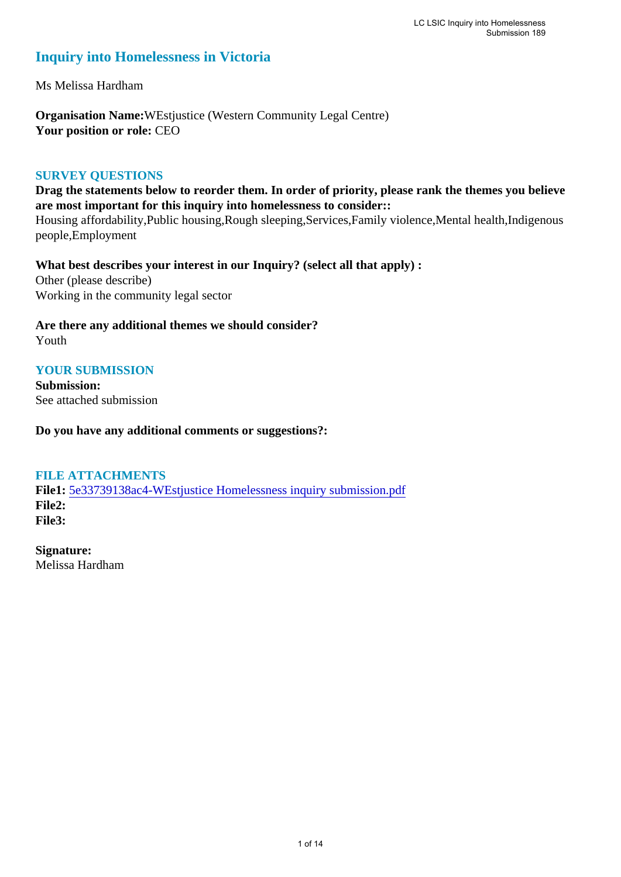### **Inquiry into Homelessness in Victoria**

Ms Melissa Hardham

**Organisation Name:**WEstjustice (Western Community Legal Centre) **Your position or role:** CEO

#### **SURVEY QUESTIONS**

**Drag the statements below to reorder them. In order of priority, please rank the themes you believe are most important for this inquiry into homelessness to consider::** 

Housing affordability,Public housing,Rough sleeping,Services,Family violence,Mental health,Indigenous people,Employment

**What best describes your interest in our Inquiry? (select all that apply) :**  Other (please describe) Working in the community legal sector

**Are there any additional themes we should consider?** Youth

#### **YOUR SUBMISSION**

**Submission:**  See attached submission

**Do you have any additional comments or suggestions?:** 

#### **FILE ATTACHMENTS**

**File1:** [5e33739138ac4-WEstjustice Homelessness inquiry submission.pdf](https://www.parliament.vic.gov.au/component/rsform/submission-view-file/2bdd08b6cb473d5033aea02597ff904e/a4313fe022334f66f440d65d93fe1811?Itemid=527) **File2: File3:** 

**Signature:** Melissa Hardham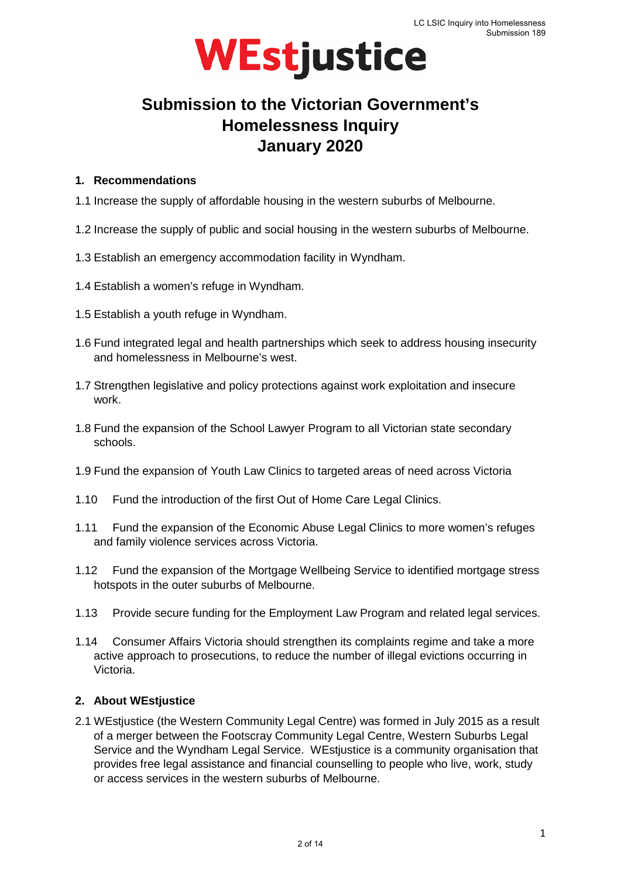

### **Submission to the Victorian Government's Homelessness Inquiry January 2020**

#### **1. Recommendations**

- 1.1 Increase the supply of affordable housing in the western suburbs of Melbourne.
- 1.2 Increase the supply of public and social housing in the western suburbs of Melbourne.
- 1.3 Establish an emergency accommodation facility in Wyndham.
- 1.4 Establish a women's refuge in Wyndham.
- 1.5 Establish a youth refuge in Wyndham.
- 1.6 Fund integrated legal and health partnerships which seek to address housing insecurity and homelessness in Melbourne's west.
- 1.7 Strengthen legislative and policy protections against work exploitation and insecure work.
- 1.8 Fund the expansion of the School Lawyer Program to all Victorian state secondary schools.
- 1.9 Fund the expansion of Youth Law Clinics to targeted areas of need across Victoria
- 1.10 Fund the introduction of the first Out of Home Care Legal Clinics.
- 1.11 Fund the expansion of the Economic Abuse Legal Clinics to more women's refuges and family violence services across Victoria.
- 1.12 Fund the expansion of the Mortgage Wellbeing Service to identified mortgage stress hotspots in the outer suburbs of Melbourne.
- 1.13 Provide secure funding for the Employment Law Program and related legal services.
- 1.14 Consumer Affairs Victoria should strengthen its complaints regime and take a more active approach to prosecutions, to reduce the number of illegal evictions occurring in Victoria.

#### **2. About WEstjustice**

2.1 WEstjustice (the Western Community Legal Centre) was formed in July 2015 as a result of a merger between the Footscray Community Legal Centre, Western Suburbs Legal Service and the Wyndham Legal Service. WEstjustice is a community organisation that provides free legal assistance and financial counselling to people who live, work, study or access services in the western suburbs of Melbourne.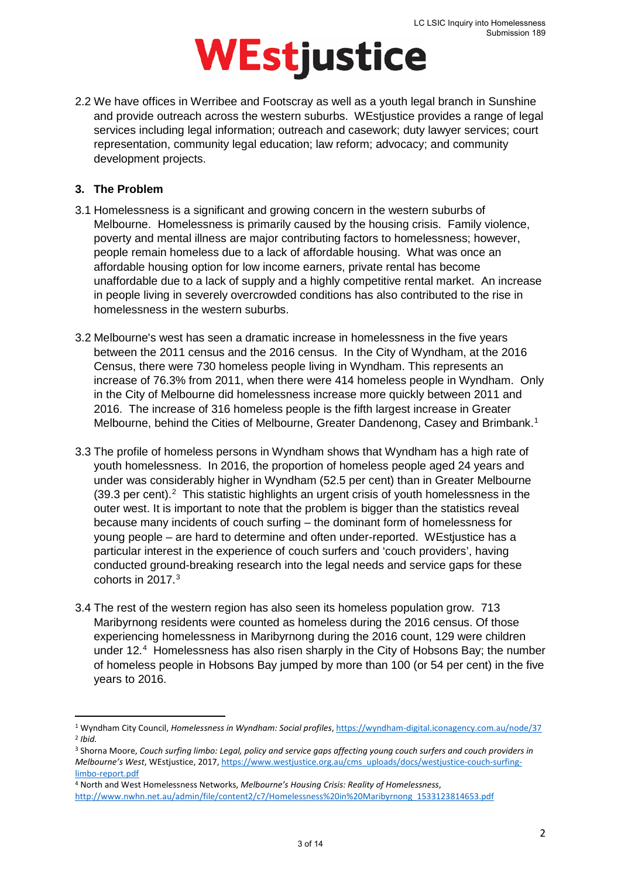2.2 We have offices in Werribee and Footscray as well as a youth legal branch in Sunshine and provide outreach across the western suburbs. WEstjustice provides a range of legal services including legal information; outreach and casework; duty lawyer services; court representation, community legal education; law reform; advocacy; and community development projects.

#### **3. The Problem**

**.** 

- 3.1 Homelessness is a significant and growing concern in the western suburbs of Melbourne. Homelessness is primarily caused by the housing crisis. Family violence, poverty and mental illness are major contributing factors to homelessness; however, people remain homeless due to a lack of affordable housing. What was once an affordable housing option for low income earners, private rental has become unaffordable due to a lack of supply and a highly competitive rental market. An increase in people living in severely overcrowded conditions has also contributed to the rise in homelessness in the western suburbs.
- 3.2 Melbourne's west has seen a dramatic increase in homelessness in the five years between the 2011 census and the 2016 census. In the City of Wyndham, at the 2016 Census, there were 730 homeless people living in Wyndham. This represents an increase of 76.3% from 2011, when there were 414 homeless people in Wyndham. Only in the City of Melbourne did homelessness increase more quickly between 2011 and 2016. The increase of 316 homeless people is the fifth largest increase in Greater Melbourne, behind the Cities of Melbourne, Greater Dandenong, Casey and Brimbank.[1](#page-2-0)
- 3.3 The profile of homeless persons in Wyndham shows that Wyndham has a high rate of youth homelessness. In 2016, the proportion of homeless people aged 24 years and under was considerably higher in Wyndham (52.5 per cent) than in Greater Melbourne  $(39.3 \text{ per cent}).^2$  $(39.3 \text{ per cent}).^2$  This statistic highlights an urgent crisis of youth homelessness in the outer west. It is important to note that the problem is bigger than the statistics reveal because many incidents of couch surfing – the dominant form of homelessness for young people – are hard to determine and often under-reported. WEstjustice has a particular interest in the experience of couch surfers and 'couch providers', having conducted ground-breaking research into the legal needs and service gaps for these cohorts in 2017. [3](#page-2-2)
- 3.4 The rest of the western region has also seen its homeless population grow. 713 Maribyrnong residents were counted as homeless during the 2016 census. Of those experiencing homelessness in Maribyrnong during the 2016 count, 129 were children under 12.<sup>[4](#page-2-3)</sup> Homelessness has also risen sharply in the City of Hobsons Bay; the number of homeless people in Hobsons Bay jumped by more than 100 (or 54 per cent) in the five years to 2016.

<span id="page-2-1"></span><span id="page-2-0"></span><sup>1</sup> Wyndham City Council, *Homelessness in Wyndham: Social profiles*[, https://wyndham-digital.iconagency.com.au/node/37](https://wyndham-digital.iconagency.com.au/node/37) <sup>2</sup> *Ibid.*

<span id="page-2-2"></span><sup>3</sup> Shorna Moore, *Couch surfing limbo: Legal, policy and service gaps affecting young couch surfers and couch providers in Melbourne's West*, WEstjustice, 2017[, https://www.westjustice.org.au/cms\\_uploads/docs/westjustice-couch-surfing](https://www.westjustice.org.au/cms_uploads/docs/westjustice-couch-surfing-limbo-report.pdf)[limbo-report.pdf](https://www.westjustice.org.au/cms_uploads/docs/westjustice-couch-surfing-limbo-report.pdf)

<span id="page-2-3"></span><sup>4</sup> North and West Homelessness Networks, *Melbourne's Housing Crisis: Reality of Homelessness*, [http://www.nwhn.net.au/admin/file/content2/c7/Homelessness%20in%20Maribyrnong\\_1533123814653.pdf](http://www.nwhn.net.au/admin/file/content2/c7/Homelessness%20in%20Maribyrnong_1533123814653.pdf)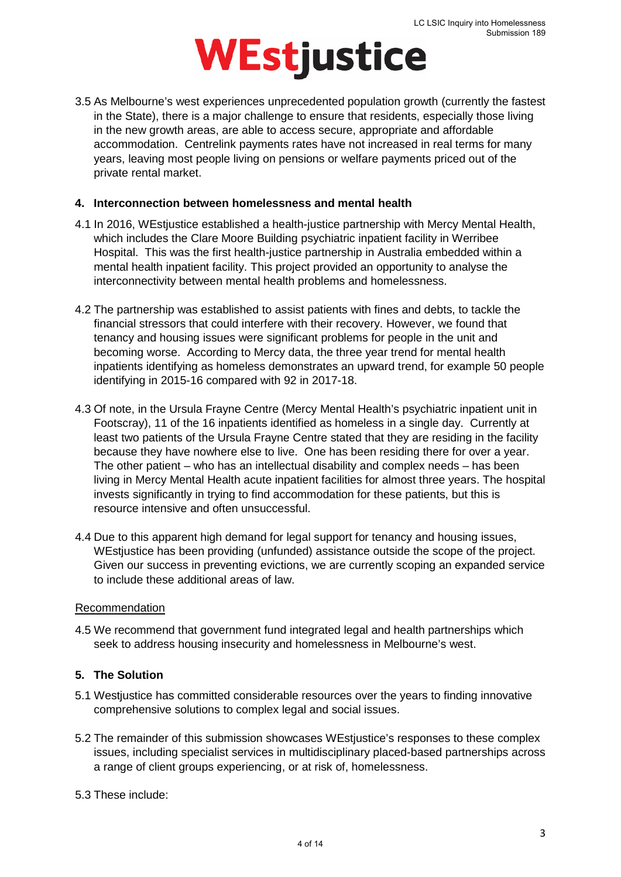3.5 As Melbourne's west experiences unprecedented population growth (currently the fastest in the State), there is a major challenge to ensure that residents, especially those living in the new growth areas, are able to access secure, appropriate and affordable accommodation. Centrelink payments rates have not increased in real terms for many years, leaving most people living on pensions or welfare payments priced out of the private rental market.

#### **4. Interconnection between homelessness and mental health**

- 4.1 In 2016, WEstjustice established a health-justice partnership with Mercy Mental Health, which includes the Clare Moore Building psychiatric inpatient facility in Werribee Hospital. This was the first health-justice partnership in Australia embedded within a mental health inpatient facility. This project provided an opportunity to analyse the interconnectivity between mental health problems and homelessness.
- 4.2 The partnership was established to assist patients with fines and debts, to tackle the financial stressors that could interfere with their recovery. However, we found that tenancy and housing issues were significant problems for people in the unit and becoming worse. According to Mercy data, the three year trend for mental health inpatients identifying as homeless demonstrates an upward trend, for example 50 people identifying in 2015-16 compared with 92 in 2017-18.
- 4.3 Of note, in the Ursula Frayne Centre (Mercy Mental Health's psychiatric inpatient unit in Footscray), 11 of the 16 inpatients identified as homeless in a single day. Currently at least two patients of the Ursula Frayne Centre stated that they are residing in the facility because they have nowhere else to live. One has been residing there for over a year. The other patient – who has an intellectual disability and complex needs – has been living in Mercy Mental Health acute inpatient facilities for almost three years. The hospital invests significantly in trying to find accommodation for these patients, but this is resource intensive and often unsuccessful.
- 4.4 Due to this apparent high demand for legal support for tenancy and housing issues, WEstjustice has been providing (unfunded) assistance outside the scope of the project. Given our success in preventing evictions, we are currently scoping an expanded service to include these additional areas of law.

#### **Recommendation**

4.5 We recommend that government fund integrated legal and health partnerships which seek to address housing insecurity and homelessness in Melbourne's west.

#### **5. The Solution**

- 5.1 Westjustice has committed considerable resources over the years to finding innovative comprehensive solutions to complex legal and social issues.
- 5.2 The remainder of this submission showcases WEstjustice's responses to these complex issues, including specialist services in multidisciplinary placed-based partnerships across a range of client groups experiencing, or at risk of, homelessness.
- 5.3 These include: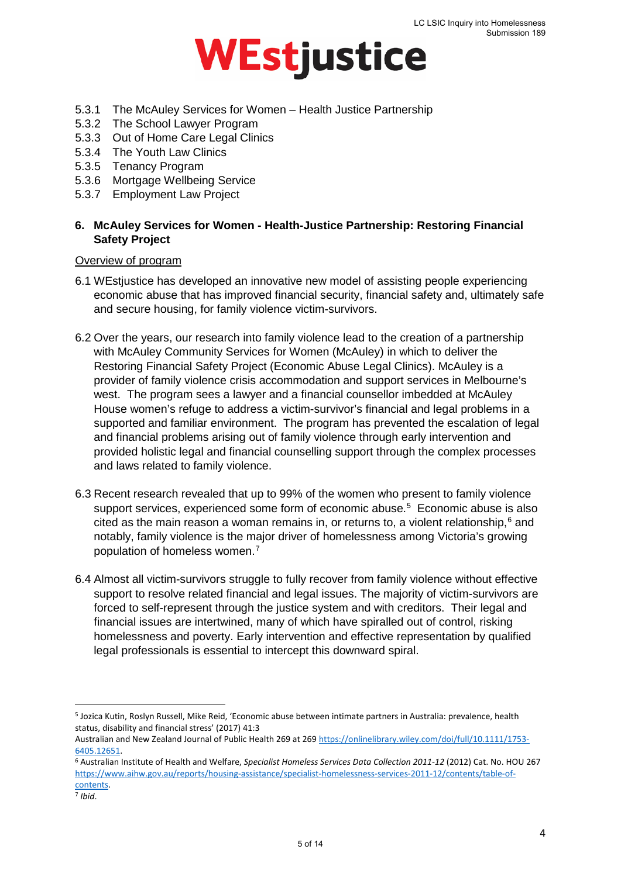

- 5.3.1 The McAuley Services for Women Health Justice Partnership
- 5.3.2 The School Lawyer Program
- 5.3.3 Out of Home Care Legal Clinics
- 5.3.4 The Youth Law Clinics
- 5.3.5 Tenancy Program
- 5.3.6 Mortgage Wellbeing Service
- 5.3.7 Employment Law Project

#### **6. McAuley Services for Women - Health-Justice Partnership: Restoring Financial Safety Project**

#### Overview of program

- 6.1 WEstjustice has developed an innovative new model of assisting people experiencing economic abuse that has improved financial security, financial safety and, ultimately safe and secure housing, for family violence victim-survivors.
- 6.2 Over the years, our research into family violence lead to the creation of a partnership with McAuley Community Services for Women (McAuley) in which to deliver the Restoring Financial Safety Project (Economic Abuse Legal Clinics). McAuley is a provider of family violence crisis accommodation and support services in Melbourne's west. The program sees a lawyer and a financial counsellor imbedded at McAuley House women's refuge to address a victim-survivor's financial and legal problems in a supported and familiar environment. The program has prevented the escalation of legal and financial problems arising out of family violence through early intervention and provided holistic legal and financial counselling support through the complex processes and laws related to family violence.
- 6.3 Recent research revealed that up to 99% of the women who present to family violence support services, experienced some form of economic abuse.<sup>[5](#page-4-0)</sup> Economic abuse is also cited as the main reason a woman remains in, or returns to, a violent relationship,  $6$  and notably, family violence is the major driver of homelessness among Victoria's growing population of homeless women.[7](#page-4-2)
- 6.4 Almost all victim-survivors struggle to fully recover from family violence without effective support to resolve related financial and legal issues. The majority of victim-survivors are forced to self-represent through the justice system and with creditors. Their legal and financial issues are intertwined, many of which have spiralled out of control, risking homelessness and poverty. Early intervention and effective representation by qualified legal professionals is essential to intercept this downward spiral.

 $\overline{a}$ 

<span id="page-4-0"></span><sup>5</sup> Jozica Kutin, Roslyn Russell, Mike Reid, 'Economic abuse between intimate partners in Australia: prevalence, health status, disability and financial stress' (2017) 41:3

Australian and New Zealand Journal of Public Health 269 at 269 [https://onlinelibrary.wiley.com/doi/full/10.1111/1753-](https://onlinelibrary.wiley.com/doi/full/10.1111/1753-6405.12651) [6405.12651.](https://onlinelibrary.wiley.com/doi/full/10.1111/1753-6405.12651)

<span id="page-4-1"></span><sup>6</sup> Australian Institute of Health and Welfare, *Specialist Homeless Services Data Collection 2011-12* (2012) Cat. No. HOU 267 [https://www.aihw.gov.au/reports/housing-assistance/specialist-homelessness-services-2011-12/contents/table-of](https://www.aihw.gov.au/reports/housing-assistance/specialist-homelessness-services-2011-12/contents/table-of-contents)[contents.](https://www.aihw.gov.au/reports/housing-assistance/specialist-homelessness-services-2011-12/contents/table-of-contents)

<span id="page-4-2"></span><sup>7</sup> *Ibid*.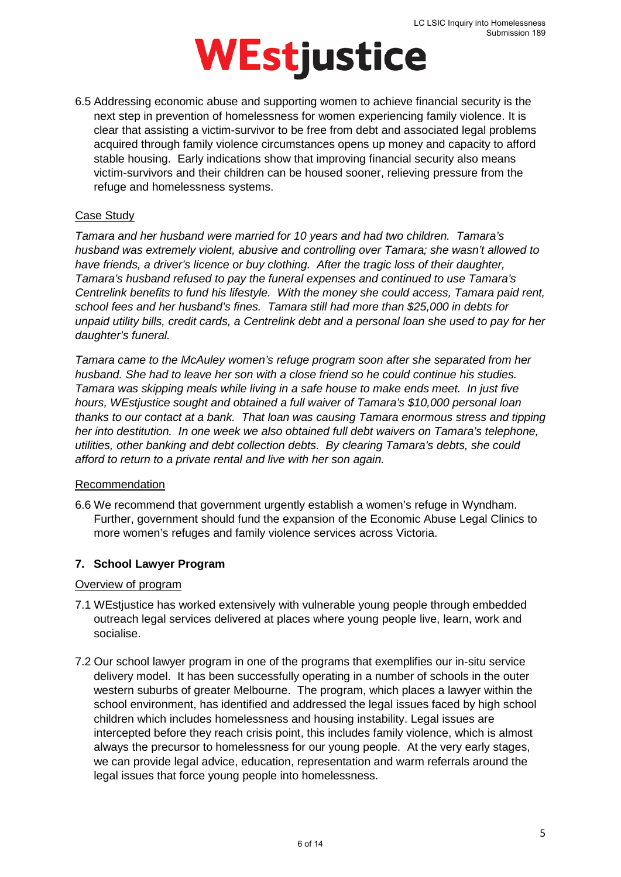6.5 Addressing economic abuse and supporting women to achieve financial security is the next step in prevention of homelessness for women experiencing family violence. It is clear that assisting a victim-survivor to be free from debt and associated legal problems acquired through family violence circumstances opens up money and capacity to afford stable housing. Early indications show that improving financial security also means victim-survivors and their children can be housed sooner, relieving pressure from the refuge and homelessness systems.

#### Case Study

*Tamara and her husband were married for 10 years and had two children. Tamara's husband was extremely violent, abusive and controlling over Tamara; she wasn't allowed to have friends, a driver's licence or buy clothing. After the tragic loss of their daughter, Tamara's husband refused to pay the funeral expenses and continued to use Tamara's Centrelink benefits to fund his lifestyle. With the money she could access, Tamara paid rent, school fees and her husband's fines. Tamara still had more than \$25,000 in debts for unpaid utility bills, credit cards, a Centrelink debt and a personal loan she used to pay for her daughter's funeral.* 

*Tamara came to the McAuley women's refuge program soon after she separated from her husband. She had to leave her son with a close friend so he could continue his studies. Tamara was skipping meals while living in a safe house to make ends meet. In just five hours, WEstjustice sought and obtained a full waiver of Tamara's \$10,000 personal loan thanks to our contact at a bank. That loan was causing Tamara enormous stress and tipping her into destitution. In one week we also obtained full debt waivers on Tamara's telephone, utilities, other banking and debt collection debts. By clearing Tamara's debts, she could afford to return to a private rental and live with her son again.*

#### Recommendation

6.6 We recommend that government urgently establish a women's refuge in Wyndham. Further, government should fund the expansion of the Economic Abuse Legal Clinics to more women's refuges and family violence services across Victoria.

#### **7. School Lawyer Program**

#### Overview of program

- 7.1 WEstjustice has worked extensively with vulnerable young people through embedded outreach legal services delivered at places where young people live, learn, work and socialise.
- 7.2 Our school lawyer program in one of the programs that exemplifies our in-situ service delivery model. It has been successfully operating in a number of schools in the outer western suburbs of greater Melbourne. The program, which places a lawyer within the school environment, has identified and addressed the legal issues faced by high school children which includes homelessness and housing instability. Legal issues are intercepted before they reach crisis point, this includes family violence, which is almost always the precursor to homelessness for our young people. At the very early stages, we can provide legal advice, education, representation and warm referrals around the legal issues that force young people into homelessness.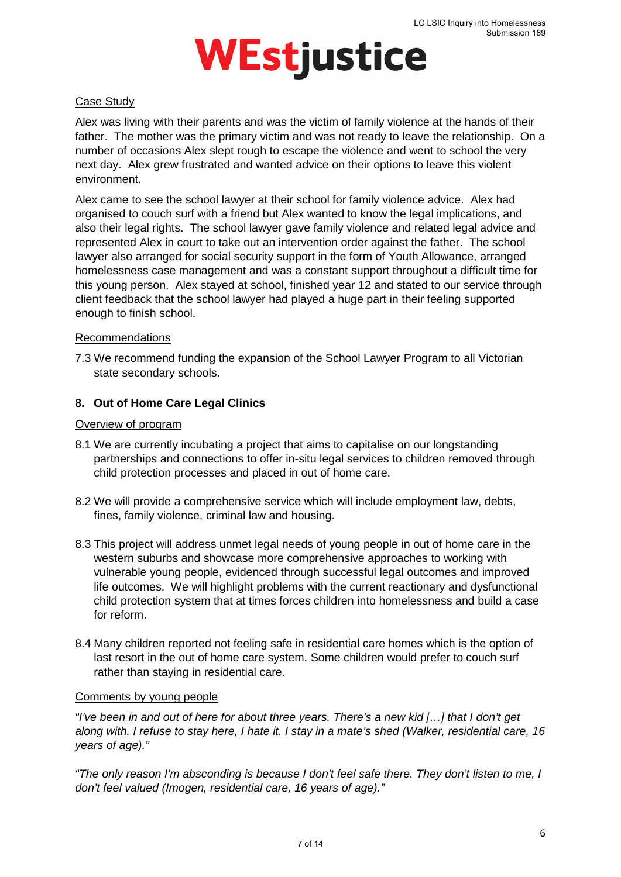#### Case Study

Alex was living with their parents and was the victim of family violence at the hands of their father. The mother was the primary victim and was not ready to leave the relationship. On a number of occasions Alex slept rough to escape the violence and went to school the very next day. Alex grew frustrated and wanted advice on their options to leave this violent environment.

Alex came to see the school lawyer at their school for family violence advice. Alex had organised to couch surf with a friend but Alex wanted to know the legal implications, and also their legal rights. The school lawyer gave family violence and related legal advice and represented Alex in court to take out an intervention order against the father. The school lawyer also arranged for social security support in the form of Youth Allowance, arranged homelessness case management and was a constant support throughout a difficult time for this young person. Alex stayed at school, finished year 12 and stated to our service through client feedback that the school lawyer had played a huge part in their feeling supported enough to finish school.

#### Recommendations

7.3 We recommend funding the expansion of the School Lawyer Program to all Victorian state secondary schools.

#### **8. Out of Home Care Legal Clinics**

#### Overview of program

- 8.1 We are currently incubating a project that aims to capitalise on our longstanding partnerships and connections to offer in-situ legal services to children removed through child protection processes and placed in out of home care.
- 8.2 We will provide a comprehensive service which will include employment law, debts, fines, family violence, criminal law and housing.
- 8.3 This project will address unmet legal needs of young people in out of home care in the western suburbs and showcase more comprehensive approaches to working with vulnerable young people, evidenced through successful legal outcomes and improved life outcomes. We will highlight problems with the current reactionary and dysfunctional child protection system that at times forces children into homelessness and build a case for reform.
- 8.4 Many children reported not feeling safe in residential care homes which is the option of last resort in the out of home care system. Some children would prefer to couch surf rather than staying in residential care.

#### Comments by young people

*"I've been in and out of here for about three years. There's a new kid […] that I don't get along with. I refuse to stay here, I hate it. I stay in a mate's shed (Walker, residential care, 16 years of age)."*

*"The only reason I'm absconding is because I don't feel safe there. They don't listen to me, I don't feel valued (Imogen, residential care, 16 years of age)."*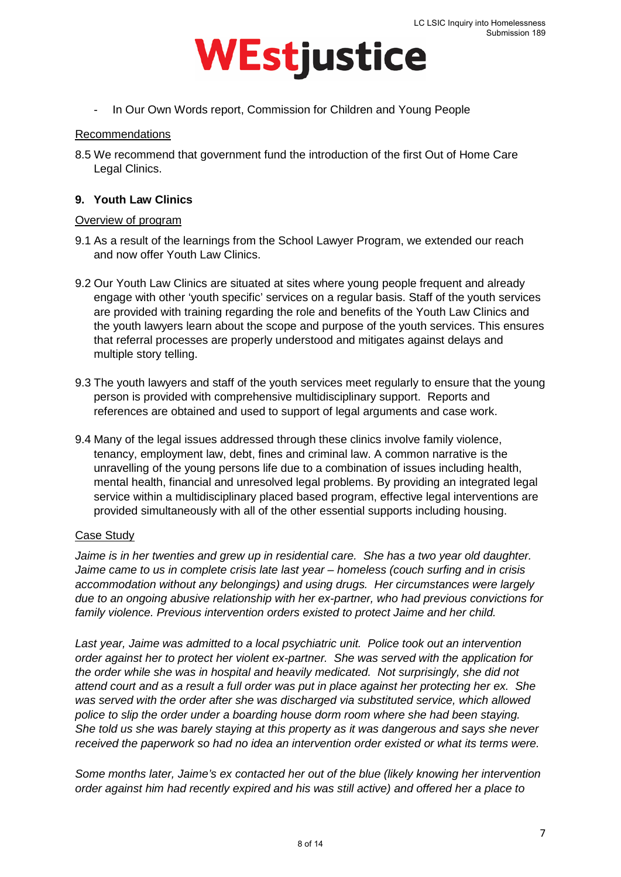

- In Our Own Words report, Commission for Children and Young People

#### Recommendations

8.5 We recommend that government fund the introduction of the first Out of Home Care Legal Clinics.

#### **9. Youth Law Clinics**

#### Overview of program

- 9.1 As a result of the learnings from the School Lawyer Program, we extended our reach and now offer Youth Law Clinics.
- 9.2 Our Youth Law Clinics are situated at sites where young people frequent and already engage with other 'youth specific' services on a regular basis. Staff of the youth services are provided with training regarding the role and benefits of the Youth Law Clinics and the youth lawyers learn about the scope and purpose of the youth services. This ensures that referral processes are properly understood and mitigates against delays and multiple story telling.
- 9.3 The youth lawyers and staff of the youth services meet regularly to ensure that the young person is provided with comprehensive multidisciplinary support. Reports and references are obtained and used to support of legal arguments and case work.
- 9.4 Many of the legal issues addressed through these clinics involve family violence, tenancy, employment law, debt, fines and criminal law. A common narrative is the unravelling of the young persons life due to a combination of issues including health, mental health, financial and unresolved legal problems. By providing an integrated legal service within a multidisciplinary placed based program, effective legal interventions are provided simultaneously with all of the other essential supports including housing.

#### Case Study

*Jaime is in her twenties and grew up in residential care. She has a two year old daughter. Jaime came to us in complete crisis late last year – homeless (couch surfing and in crisis accommodation without any belongings) and using drugs. Her circumstances were largely due to an ongoing abusive relationship with her ex-partner, who had previous convictions for family violence. Previous intervention orders existed to protect Jaime and her child.* 

*Last year, Jaime was admitted to a local psychiatric unit. Police took out an intervention order against her to protect her violent ex-partner. She was served with the application for the order while she was in hospital and heavily medicated. Not surprisingly, she did not attend court and as a result a full order was put in place against her protecting her ex. She was served with the order after she was discharged via substituted service, which allowed police to slip the order under a boarding house dorm room where she had been staying. She told us she was barely staying at this property as it was dangerous and says she never received the paperwork so had no idea an intervention order existed or what its terms were.*

*Some months later, Jaime's ex contacted her out of the blue (likely knowing her intervention order against him had recently expired and his was still active) and offered her a place to*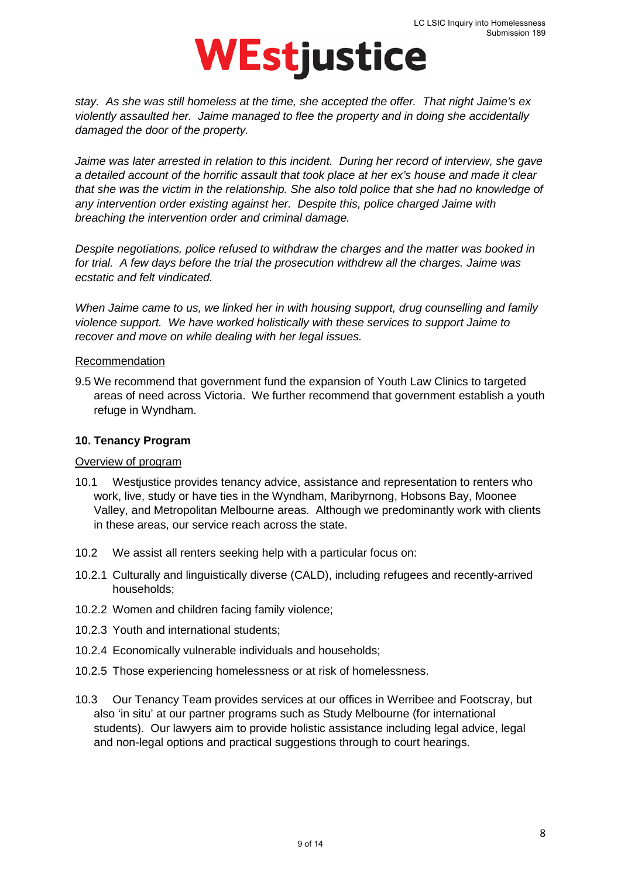

*stay. As she was still homeless at the time, she accepted the offer. That night Jaime's ex violently assaulted her. Jaime managed to flee the property and in doing she accidentally damaged the door of the property.* 

*Jaime was later arrested in relation to this incident. During her record of interview, she gave a detailed account of the horrific assault that took place at her ex's house and made it clear that she was the victim in the relationship. She also told police that she had no knowledge of any intervention order existing against her. Despite this, police charged Jaime with breaching the intervention order and criminal damage.*

*Despite negotiations, police refused to withdraw the charges and the matter was booked in for trial. A few days before the trial the prosecution withdrew all the charges. Jaime was ecstatic and felt vindicated.*

*When Jaime came to us, we linked her in with housing support, drug counselling and family violence support. We have worked holistically with these services to support Jaime to recover and move on while dealing with her legal issues.*

#### Recommendation

9.5 We recommend that government fund the expansion of Youth Law Clinics to targeted areas of need across Victoria. We further recommend that government establish a youth refuge in Wyndham.

#### **10. Tenancy Program**

#### Overview of program

- 10.1 Westjustice provides tenancy advice, assistance and representation to renters who work, live, study or have ties in the Wyndham, Maribyrnong, Hobsons Bay, Moonee Valley, and Metropolitan Melbourne areas. Although we predominantly work with clients in these areas, our service reach across the state.
- 10.2 We assist all renters seeking help with a particular focus on:
- 10.2.1 Culturally and linguistically diverse (CALD), including refugees and recently-arrived households;
- 10.2.2 Women and children facing family violence;
- 10.2.3 Youth and international students;
- 10.2.4 Economically vulnerable individuals and households;
- 10.2.5 Those experiencing homelessness or at risk of homelessness.
- 10.3 Our Tenancy Team provides services at our offices in Werribee and Footscray, but also 'in situ' at our partner programs such as Study Melbourne (for international students). Our lawyers aim to provide holistic assistance including legal advice, legal and non-legal options and practical suggestions through to court hearings.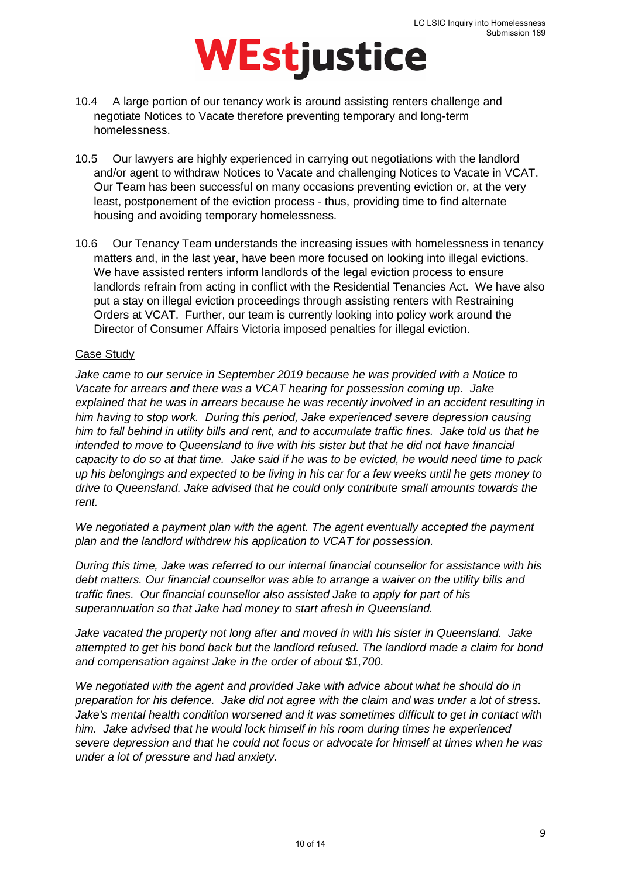- 10.4 A large portion of our tenancy work is around assisting renters challenge and negotiate Notices to Vacate therefore preventing temporary and long-term homelessness.
- 10.5 Our lawyers are highly experienced in carrying out negotiations with the landlord and/or agent to withdraw Notices to Vacate and challenging Notices to Vacate in VCAT. Our Team has been successful on many occasions preventing eviction or, at the very least, postponement of the eviction process - thus, providing time to find alternate housing and avoiding temporary homelessness.
- 10.6 Our Tenancy Team understands the increasing issues with homelessness in tenancy matters and, in the last year, have been more focused on looking into illegal evictions. We have assisted renters inform landlords of the legal eviction process to ensure landlords refrain from acting in conflict with the Residential Tenancies Act. We have also put a stay on illegal eviction proceedings through assisting renters with Restraining Orders at VCAT. Further, our team is currently looking into policy work around the Director of Consumer Affairs Victoria imposed penalties for illegal eviction.

#### Case Study

*Jake came to our service in September 2019 because he was provided with a Notice to Vacate for arrears and there was a VCAT hearing for possession coming up. Jake explained that he was in arrears because he was recently involved in an accident resulting in him having to stop work. During this period, Jake experienced severe depression causing him to fall behind in utility bills and rent, and to accumulate traffic fines. Jake told us that he intended to move to Queensland to live with his sister but that he did not have financial capacity to do so at that time. Jake said if he was to be evicted, he would need time to pack up his belongings and expected to be living in his car for a few weeks until he gets money to drive to Queensland. Jake advised that he could only contribute small amounts towards the rent.* 

*We negotiated a payment plan with the agent. The agent eventually accepted the payment plan and the landlord withdrew his application to VCAT for possession.* 

*During this time, Jake was referred to our internal financial counsellor for assistance with his debt matters. Our financial counsellor was able to arrange a waiver on the utility bills and traffic fines. Our financial counsellor also assisted Jake to apply for part of his superannuation so that Jake had money to start afresh in Queensland.* 

*Jake vacated the property not long after and moved in with his sister in Queensland. Jake attempted to get his bond back but the landlord refused. The landlord made a claim for bond and compensation against Jake in the order of about \$1,700.* 

*We negotiated with the agent and provided Jake with advice about what he should do in preparation for his defence. Jake did not agree with the claim and was under a lot of stress. Jake's mental health condition worsened and it was sometimes difficult to get in contact with him. Jake advised that he would lock himself in his room during times he experienced severe depression and that he could not focus or advocate for himself at times when he was under a lot of pressure and had anxiety.*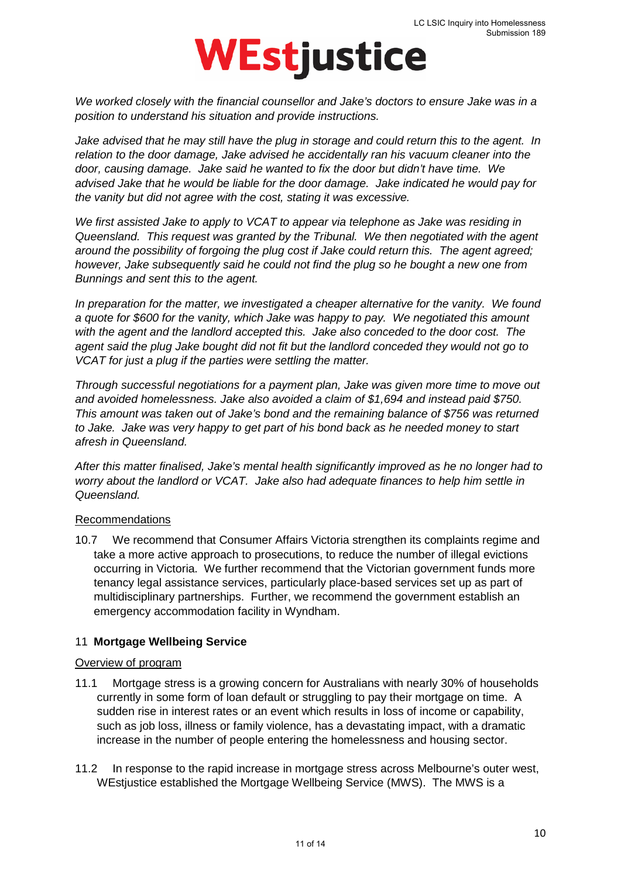*We worked closely with the financial counsellor and Jake's doctors to ensure Jake was in a position to understand his situation and provide instructions.* 

*Jake advised that he may still have the plug in storage and could return this to the agent. In relation to the door damage, Jake advised he accidentally ran his vacuum cleaner into the door, causing damage. Jake said he wanted to fix the door but didn't have time. We advised Jake that he would be liable for the door damage. Jake indicated he would pay for the vanity but did not agree with the cost, stating it was excessive.* 

*We first assisted Jake to apply to VCAT to appear via telephone as Jake was residing in Queensland. This request was granted by the Tribunal. We then negotiated with the agent around the possibility of forgoing the plug cost if Jake could return this. The agent agreed; however, Jake subsequently said he could not find the plug so he bought a new one from Bunnings and sent this to the agent.*

*In preparation for the matter, we investigated a cheaper alternative for the vanity. We found a quote for \$600 for the vanity, which Jake was happy to pay. We negotiated this amount with the agent and the landlord accepted this. Jake also conceded to the door cost. The agent said the plug Jake bought did not fit but the landlord conceded they would not go to VCAT for just a plug if the parties were settling the matter.* 

*Through successful negotiations for a payment plan, Jake was given more time to move out and avoided homelessness. Jake also avoided a claim of \$1,694 and instead paid \$750. This amount was taken out of Jake's bond and the remaining balance of \$756 was returned to Jake. Jake was very happy to get part of his bond back as he needed money to start afresh in Queensland.* 

*After this matter finalised, Jake's mental health significantly improved as he no longer had to worry about the landlord or VCAT. Jake also had adequate finances to help him settle in Queensland.* 

#### Recommendations

10.7 We recommend that Consumer Affairs Victoria strengthen its complaints regime and take a more active approach to prosecutions, to reduce the number of illegal evictions occurring in Victoria. We further recommend that the Victorian government funds more tenancy legal assistance services, particularly place-based services set up as part of multidisciplinary partnerships. Further, we recommend the government establish an emergency accommodation facility in Wyndham.

#### 11 **Mortgage Wellbeing Service**

#### Overview of program

- 11.1 Mortgage stress is a growing concern for Australians with nearly 30% of households currently in some form of loan default or struggling to pay their mortgage on time. A sudden rise in interest rates or an event which results in loss of income or capability, such as job loss, illness or family violence, has a devastating impact, with a dramatic increase in the number of people entering the homelessness and housing sector.
- 11.2 In response to the rapid increase in mortgage stress across Melbourne's outer west, WEstiustice established the Mortgage Wellbeing Service (MWS). The MWS is a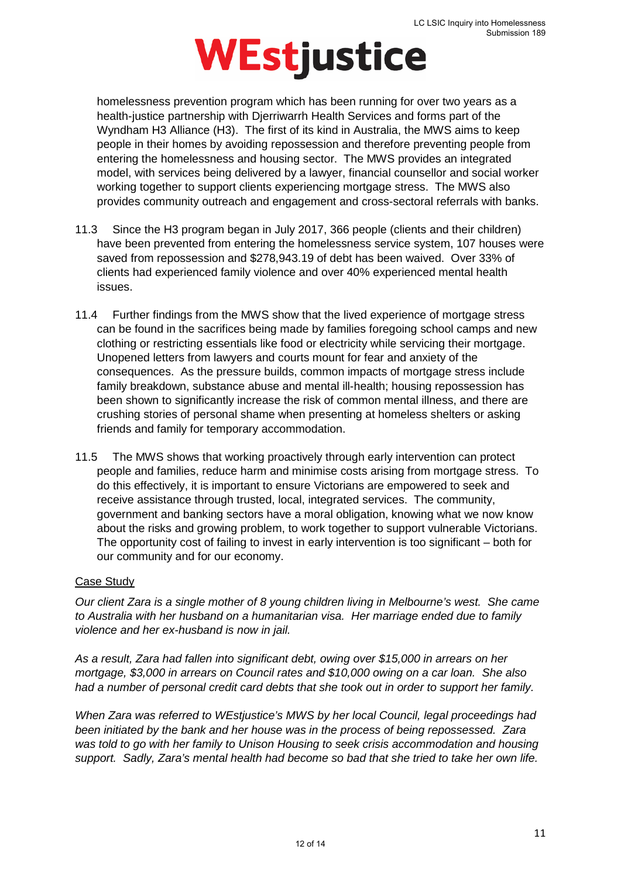homelessness prevention program which has been running for over two years as a health-justice partnership with Djerriwarrh Health Services and forms part of the Wyndham H3 Alliance (H3). The first of its kind in Australia, the MWS aims to keep people in their homes by avoiding repossession and therefore preventing people from entering the homelessness and housing sector. The MWS provides an integrated model, with services being delivered by a lawyer, financial counsellor and social worker working together to support clients experiencing mortgage stress. The MWS also provides community outreach and engagement and cross-sectoral referrals with banks.

- 11.3 Since the H3 program began in July 2017, 366 people (clients and their children) have been prevented from entering the homelessness service system, 107 houses were saved from repossession and \$278,943.19 of debt has been waived. Over 33% of clients had experienced family violence and over 40% experienced mental health issues.
- 11.4 Further findings from the MWS show that the lived experience of mortgage stress can be found in the sacrifices being made by families foregoing school camps and new clothing or restricting essentials like food or electricity while servicing their mortgage. Unopened letters from lawyers and courts mount for fear and anxiety of the consequences. As the pressure builds, common impacts of mortgage stress include family breakdown, substance abuse and mental ill-health; housing repossession has been shown to significantly increase the risk of common mental illness, and there are crushing stories of personal shame when presenting at homeless shelters or asking friends and family for temporary accommodation.
- 11.5 The MWS shows that working proactively through early intervention can protect people and families, reduce harm and minimise costs arising from mortgage stress. To do this effectively, it is important to ensure Victorians are empowered to seek and receive assistance through trusted, local, integrated services. The community, government and banking sectors have a moral obligation, knowing what we now know about the risks and growing problem, to work together to support vulnerable Victorians. The opportunity cost of failing to invest in early intervention is too significant – both for our community and for our economy.

#### Case Study

*Our client Zara is a single mother of 8 young children living in Melbourne's west. She came to Australia with her husband on a humanitarian visa. Her marriage ended due to family violence and her ex-husband is now in jail.*

*As a result, Zara had fallen into significant debt, owing over \$15,000 in arrears on her mortgage, \$3,000 in arrears on Council rates and \$10,000 owing on a car loan. She also had a number of personal credit card debts that she took out in order to support her family.* 

*When Zara was referred to WEstjustice's MWS by her local Council, legal proceedings had been initiated by the bank and her house was in the process of being repossessed. Zara was told to go with her family to Unison Housing to seek crisis accommodation and housing support. Sadly, Zara's mental health had become so bad that she tried to take her own life.*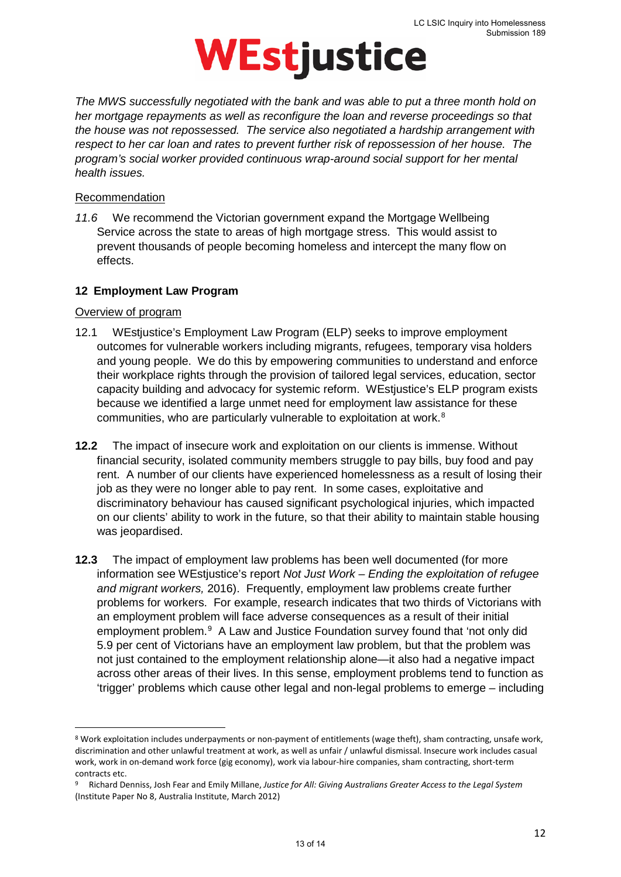*The MWS successfully negotiated with the bank and was able to put a three month hold on her mortgage repayments as well as reconfigure the loan and reverse proceedings so that the house was not repossessed. The service also negotiated a hardship arrangement with respect to her car loan and rates to prevent further risk of repossession of her house. The program's social worker provided continuous wrap-around social support for her mental health issues.*

#### Recommendation

*11.6* We recommend the Victorian government expand the Mortgage Wellbeing Service across the state to areas of high mortgage stress. This would assist to prevent thousands of people becoming homeless and intercept the many flow on effects.

#### **12 Employment Law Program**

#### Overview of program

 $\overline{a}$ 

- 12.1 WEstjustice's Employment Law Program (ELP) seeks to improve employment outcomes for vulnerable workers including migrants, refugees, temporary visa holders and young people. We do this by empowering communities to understand and enforce their workplace rights through the provision of tailored legal services, education, sector capacity building and advocacy for systemic reform. WEstjustice's ELP program exists because we identified a large unmet need for employment law assistance for these communities, who are particularly vulnerable to exploitation at work.<sup>[8](#page-12-0)</sup>
- **12.2** The impact of insecure work and exploitation on our clients is immense. Without financial security, isolated community members struggle to pay bills, buy food and pay rent. A number of our clients have experienced homelessness as a result of losing their job as they were no longer able to pay rent. In some cases, exploitative and discriminatory behaviour has caused significant psychological injuries, which impacted on our clients' ability to work in the future, so that their ability to maintain stable housing was jeopardised.
- **12.3** The impact of employment law problems has been well documented (for more information see WEstjustice's report *Not Just Work – Ending the exploitation of refugee and migrant workers,* 2016). Frequently, employment law problems create further problems for workers. For example, research indicates that two thirds of Victorians with an employment problem will face adverse consequences as a result of their initial employment problem.<sup>[9](#page-12-1)</sup> A Law and Justice Foundation survey found that 'not only did 5.9 per cent of Victorians have an employment law problem, but that the problem was not just contained to the employment relationship alone—it also had a negative impact across other areas of their lives. In this sense, employment problems tend to function as 'trigger' problems which cause other legal and non-legal problems to emerge – including

<span id="page-12-0"></span><sup>8</sup> Work exploitation includes underpayments or non-payment of entitlements (wage theft), sham contracting, unsafe work, discrimination and other unlawful treatment at work, as well as unfair / unlawful dismissal. Insecure work includes casual work, work in on-demand work force (gig economy), work via labour-hire companies, sham contracting, short-term contracts etc.

<span id="page-12-1"></span><sup>9</sup> Richard Denniss, Josh Fear and Emily Millane, *Justice for All: Giving Australians Greater Access to the Legal System* (Institute Paper No 8, Australia Institute, March 2012)